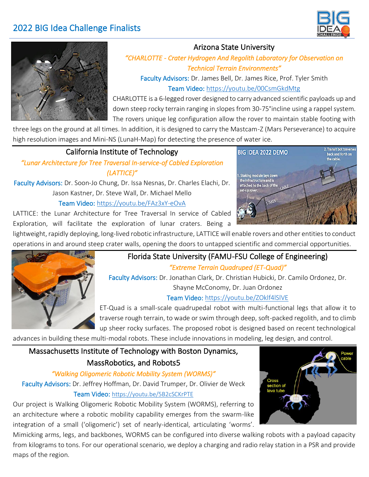# 2022 BIG Idea Challenge Finalists





### Arizona State University

#### *"CHARLOTTE - Crater Hydrogen And Regolith Laboratory for Observation on Technical Terrain Environments"*

Faculty Advisors: Dr. James Bell, Dr. James Rice, Prof. Tyler Smith Team Video: <https://youtu.be/00CsmGkdMtg>

CHARLOTTE is a 6-legged rover designed to carry advanced scientific payloads up and down steep rocky terrain ranging in slopes from 30-75°incline using a rappel system. The rovers unique leg configuration allow the rover to maintain stable footing with

three legs on the ground at all times. In addition, it is designed to carry the Mastcam-Z (Mars Perseverance) to acquire high resolution images and Mini-NS (LunaH-Map) for detecting the presence of water ice.

### California Institute of Technology

*"Lunar Architecture for Tree Traversal In-service-of Cabled Exploration (LATTICE)"* 

Faculty Advisors: Dr. Soon-Jo Chung, Dr. Issa Nesnas, Dr. Charles Elachi, Dr. Jason Kastner, Dr. Steve Wall, Dr. Michael Mello Team Video: <https://youtu.be/FAz3xY-eOvA>

LATTICE: the Lunar Architecture for Tree Traversal In service of Cabled Exploration, will facilitate the exploration of lunar craters. Being a



lightweight, rapidly deploying, long-lived robotic infrastructure, LATTICE will enable rovers and other entities to conduct operations in and around steep crater walls, opening the doors to untapped scientific and commercial opportunities.



# Florida State University (FAMU-FSU College of Engineering)

*"Extreme Terrain Quadruped (ET-Quad)"* 

Faculty Advisors: Dr. Jonathan Clark, Dr. Christian Hubicki, Dr. Camilo Ordonez, Dr.

Shayne McConomy, Dr. Juan Ordonez

#### Team Video: <https://youtu.be/ZOklf4lSlVE>

ET-Quad is a small-scale quadrupedal robot with multi-functional legs that allow it to traverse rough terrain, to wade or swim through deep, soft-packed regolith, and to climb up sheer rocky surfaces. The proposed robot is designed based on recent technological

advances in building these multi-modal robots. These include innovations in modeling, leg design, and control.

## Massachusetts Institute of Technology with Boston Dynamics, MassRobotics, and Robots5

#### *"Walking Oligomeric Robotic Mobility System (WORMS)"*

Faculty Advisors: Dr. Jeffrey Hoffman, Dr. David Trumper, Dr. Olivier de Weck Team Video: <https://youtu.be/5B2cSCKrPTE>

Our project is Walking Oligomeric Robotic Mobility System (WORMS), referring to an architecture where a robotic mobility capability emerges from the swarm-like integration of a small ('oligomeric') set of nearly-identical, articulating 'worms'.

Mimicking arms, legs, and backbones, WORMS can be configured into diverse walking robots with a payload capacity from kilograms to tons. For our operational scenario, we deploy a charging and radio relay station in a PSR and provide maps of the region.